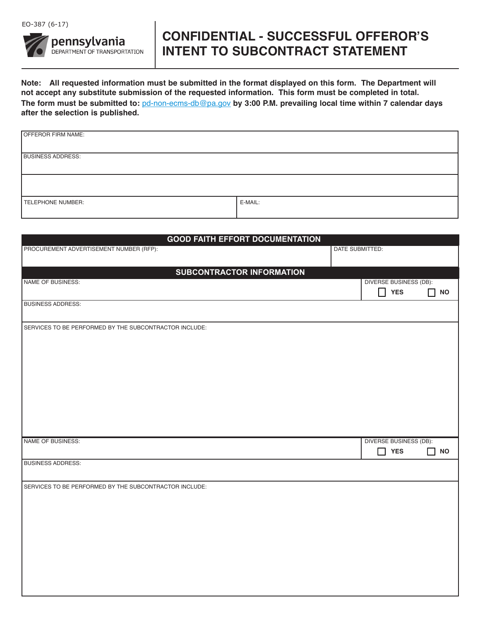

## **CONFIDENTIAl - SUCCESSFUl OFFEROR'S INTENT TO SUbCONTRACT STATEMENT**

**Note: All requested information must be submitted in the format displayed on this form. The Department will not accept any substitute submission of the requested information. This form must be completed in total. The form must be submitted to:** pd-non-ecms-db@pa.gov **by 3:00 P.M. prevailing local time within 7 calendar days after the selection is published.** 

| OFFEROR FIRM NAME:       |         |
|--------------------------|---------|
| <b>BUSINESS ADDRESS:</b> |         |
|                          |         |
| TELEPHONE NUMBER:        | E-MAIL: |

| <b>GOOD FAITH EFFORT DOCUMENTATION</b>                 |                               |                               |                    |  |
|--------------------------------------------------------|-------------------------------|-------------------------------|--------------------|--|
| PROCUREMENT ADVERTISEMENT NUMBER (RFP):                | DATE SUBMITTED:               |                               |                    |  |
|                                                        |                               |                               |                    |  |
| <b>SUBCONTRACTOR INFORMATION</b>                       |                               |                               |                    |  |
| NAME OF BUSINESS:                                      | <b>DIVERSE BUSINESS (DB):</b> |                               |                    |  |
|                                                        | $\prod$ YES                   |                               | $\Box$ NO          |  |
| <b>BUSINESS ADDRESS:</b>                               |                               |                               |                    |  |
|                                                        |                               |                               |                    |  |
|                                                        |                               |                               |                    |  |
| SERVICES TO BE PERFORMED BY THE SUBCONTRACTOR INCLUDE: |                               |                               |                    |  |
|                                                        |                               |                               |                    |  |
|                                                        |                               |                               |                    |  |
|                                                        |                               |                               |                    |  |
|                                                        |                               |                               |                    |  |
|                                                        |                               |                               |                    |  |
|                                                        |                               |                               |                    |  |
|                                                        |                               |                               |                    |  |
|                                                        |                               |                               |                    |  |
|                                                        |                               |                               |                    |  |
|                                                        |                               |                               |                    |  |
| NAME OF BUSINESS:                                      |                               | <b>DIVERSE BUSINESS (DB):</b> |                    |  |
|                                                        | H                             | <b>YES</b>                    | П<br>$\mathsf{NO}$ |  |
| <b>BUSINESS ADDRESS:</b>                               |                               |                               |                    |  |
|                                                        |                               |                               |                    |  |
|                                                        |                               |                               |                    |  |
| SERVICES TO BE PERFORMED BY THE SUBCONTRACTOR INCLUDE: |                               |                               |                    |  |
|                                                        |                               |                               |                    |  |
|                                                        |                               |                               |                    |  |
|                                                        |                               |                               |                    |  |
|                                                        |                               |                               |                    |  |
|                                                        |                               |                               |                    |  |
|                                                        |                               |                               |                    |  |
|                                                        |                               |                               |                    |  |
|                                                        |                               |                               |                    |  |
|                                                        |                               |                               |                    |  |
|                                                        |                               |                               |                    |  |